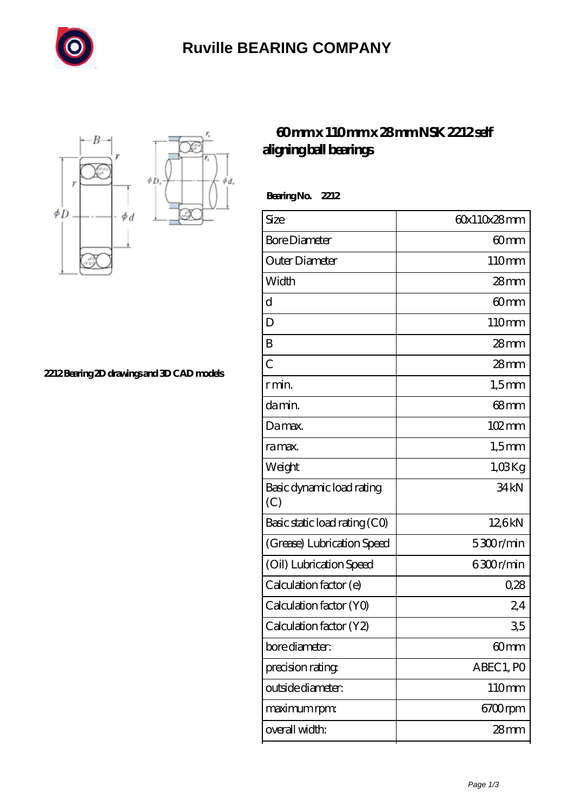

## **[Ruville BEARING COMPANY](https://sitecoachoutlet-2014.com)**



**[2212 Bearing 2D drawings and 3D CAD models](https://sitecoachoutlet-2014.com/pic-433699.html)**

## **[60 mm x 110 mm x 28 mm NSK 2212 self](https://sitecoachoutlet-2014.com/aw-433699-nsk-2212-self-aligning-ball-bearings.html) [aligning ball bearings](https://sitecoachoutlet-2014.com/aw-433699-nsk-2212-self-aligning-ball-bearings.html)**

 **Bearing No. 2212**

| Size                             | 60x110x28mm         |
|----------------------------------|---------------------|
| <b>Bore Diameter</b>             | 60 <sub>mm</sub>    |
| Outer Diameter                   | 110mm               |
| Width                            | $28$ mm             |
| $\mathbf d$                      | 60mm                |
| D                                | 110mm               |
| B                                | 28mm                |
| $\overline{C}$                   | $28 \text{mm}$      |
| r min.                           | $1,5$ mm            |
| da min.                          | $68$ mm             |
| Damax.                           | $102 \,\mathrm{mm}$ |
| ra max.                          | $1,5$ mm            |
| Weight                           | 1,03Kg              |
| Basic dynamic load rating<br>(C) | 34 <sub>kN</sub>    |
| Basic static load rating (CO)    | 12,6kN              |
| (Grease) Lubrication Speed       | 5300r/min           |
| (Oil) Lubrication Speed          | 6300r/min           |
| Calculation factor (e)           | 0,28                |
| Calculation factor (YO)          | 24                  |
| Calculation factor (Y2)          | 35                  |
| bore diameter:                   | 60mm                |
| precision rating                 | ABEC 1, PO          |
| outside diameter:                | 110mm               |
| maximum rpm:                     | 6700rpm             |
| overall width:                   | 28mm                |
|                                  |                     |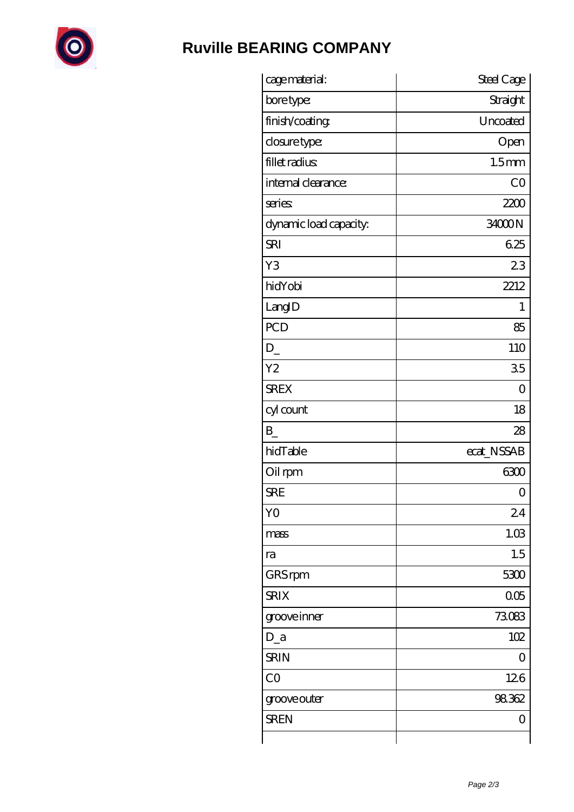

## **[Ruville BEARING COMPANY](https://sitecoachoutlet-2014.com)**

| cage material:         | Steel Cage        |
|------------------------|-------------------|
| bore type:             | Straight          |
| finish/coating         | Uncoated          |
| closure type:          | Open              |
| fillet radius          | 1.5 <sub>mm</sub> |
| internal clearance:    | CO                |
| series                 | 2200              |
| dynamic load capacity. | 34000N            |
| <b>SRI</b>             | 625               |
| Y3                     | 23                |
| hidYobi                | 2212              |
| LangID                 | 1                 |
| <b>PCD</b>             | 85                |
| $D_{-}$                | 110               |
| Y <sub>2</sub>         | 35                |
| <b>SREX</b>            | $\overline{0}$    |
| cyl count              | 18                |
| $\mathbf{B}$           | 28                |
| hidTable               | ecat_NSSAB        |
| Oil rpm                | 6300              |
| <b>SRE</b>             | 0                 |
| Y <sub>O</sub>         | 24                |
| mass                   | 1.03              |
| ra                     | 1.5               |
| GRS rpm                | 5300              |
| <b>SRIX</b>            | 005               |
| groove inner           | 73083             |
| $D_a$                  | 102               |
| <b>SRIN</b>            | 0                 |
| CO                     | 126               |
| groove outer           | 98362             |
| <b>SREN</b>            | 0                 |
|                        |                   |